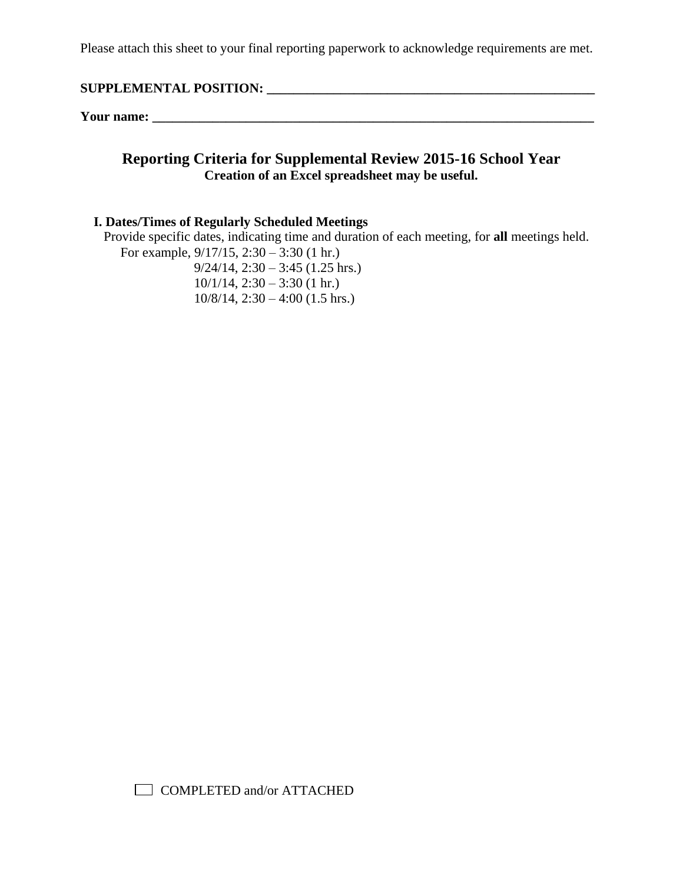### **SUPPLEMENTAL POSITION: \_\_\_\_\_\_\_\_\_\_\_\_\_\_\_\_\_\_\_\_\_\_\_\_\_\_\_\_\_\_\_\_\_\_\_\_\_\_\_\_\_\_\_\_\_\_\_\_\_**

**Your name: \_\_\_\_\_\_\_\_\_\_\_\_\_\_\_\_\_\_\_\_\_\_\_\_\_\_\_\_\_\_\_\_\_\_\_\_\_\_\_\_\_\_\_\_\_\_\_\_\_\_\_\_\_\_\_\_\_\_\_\_\_\_\_\_\_\_**

### **Reporting Criteria for Supplemental Review 2015-16 School Year Creation of an Excel spreadsheet may be useful.**

#### **I. Dates/Times of Regularly Scheduled Meetings**

 Provide specific dates, indicating time and duration of each meeting, for **all** meetings held. For example, 9/17/15, 2:30 – 3:30 (1 hr.)

 $9/24/14$ ,  $2:30 - 3:45$  (1.25 hrs.)  $10/1/14$ ,  $2:30 - 3:30$  (1 hr.)  $10/8/14$ ,  $2:30 - 4:00$  (1.5 hrs.)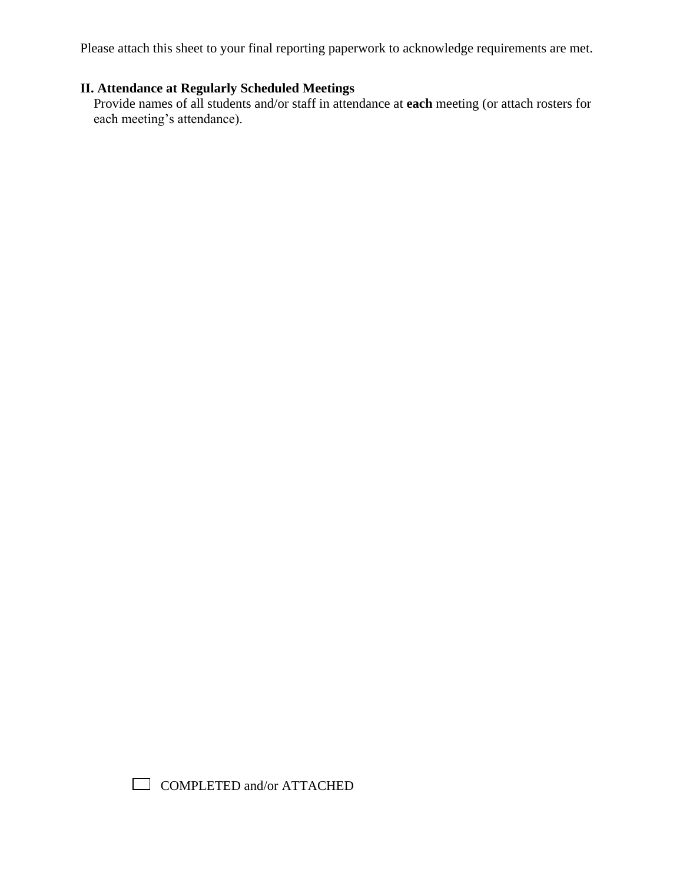# **II. Attendance at Regularly Scheduled Meetings**

 Provide names of all students and/or staff in attendance at **each** meeting (or attach rosters for each meeting's attendance).

COMPLETED and/or ATTACHED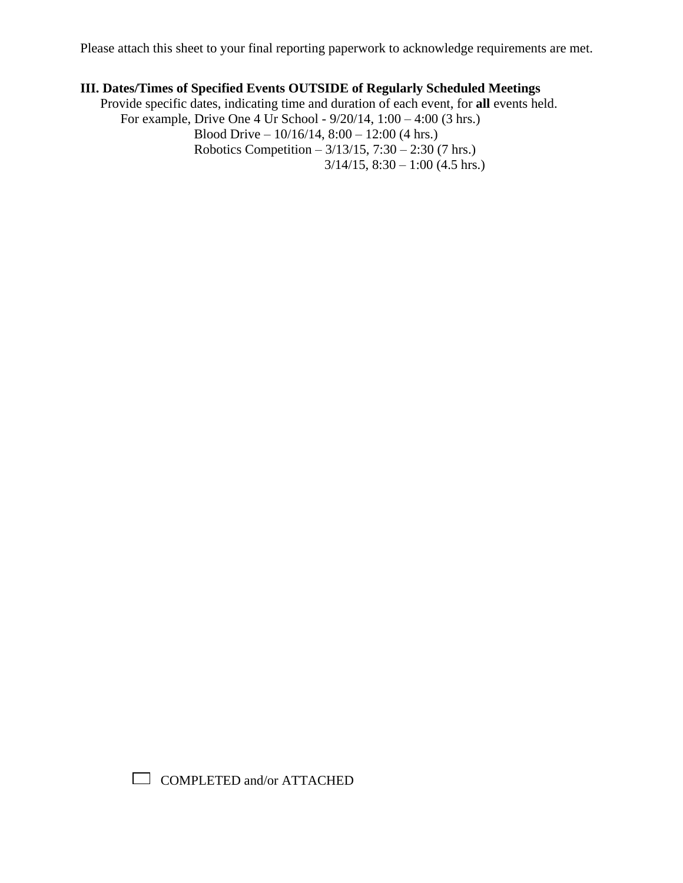# **III. Dates/Times of Specified Events OUTSIDE of Regularly Scheduled Meetings**

 Provide specific dates, indicating time and duration of each event, for **all** events held. For example, Drive One 4 Ur School - 9/20/14, 1:00 – 4:00 (3 hrs.) Blood Drive –  $10/16/14$ ,  $8:00 - 12:00$  (4 hrs.) Robotics Competition –  $3/13/15$ ,  $7:30 - 2:30$  (7 hrs.)  $3/14/15$ ,  $8:30 - 1:00$  (4.5 hrs.)

COMPLETED and/or ATTACHED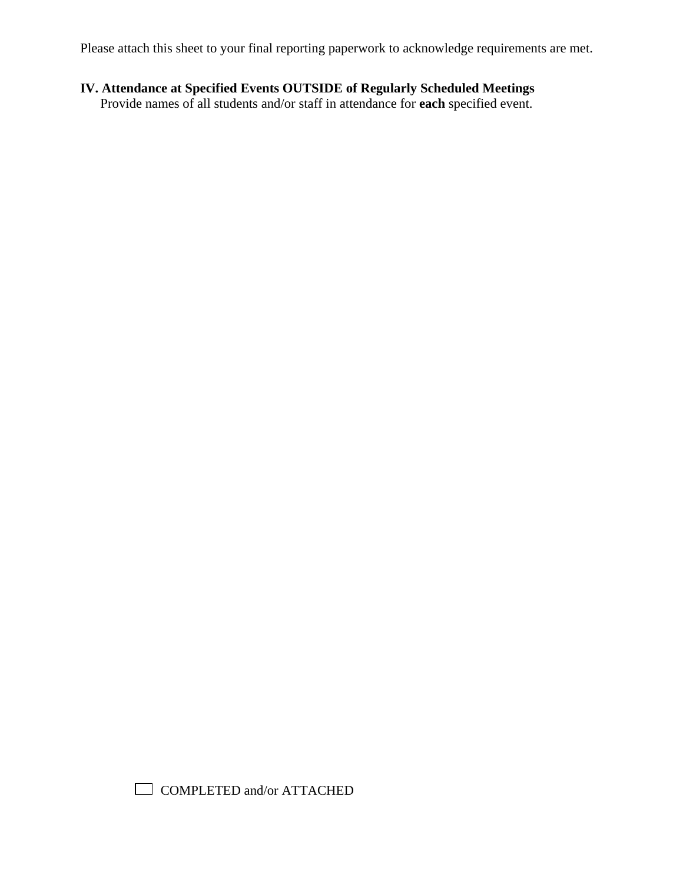# **IV. Attendance at Specified Events OUTSIDE of Regularly Scheduled Meetings**

Provide names of all students and/or staff in attendance for **each** specified event.